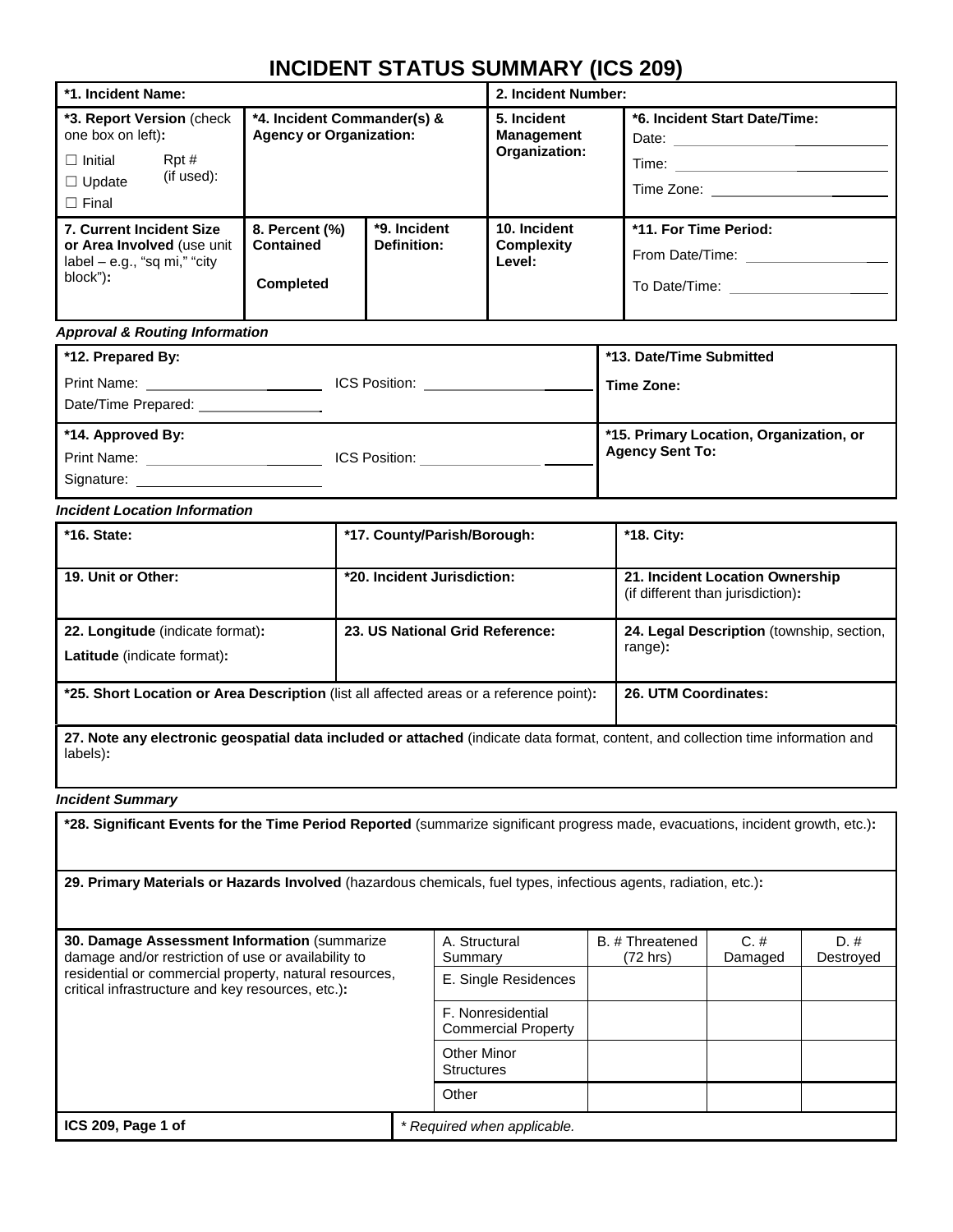| *1. Incident Name:                                                                                                       |                                                                                |  | 2. Incident Number:                               |                                                                                                                                                                        |  |  |  |
|--------------------------------------------------------------------------------------------------------------------------|--------------------------------------------------------------------------------|--|---------------------------------------------------|------------------------------------------------------------------------------------------------------------------------------------------------------------------------|--|--|--|
| *3. Report Version (check)<br>one box on left):<br>Rpt#<br>$\Box$ Initial<br>(if used):<br>$\Box$ Update<br>$\Box$ Final | *4. Incident Commander(s) &<br><b>Agency or Organization:</b>                  |  | 5. Incident<br><b>Management</b><br>Organization: | *6. Incident Start Date/Time:<br>Date: and the state of the state of the state of the state of the state of the state of the state of the state<br>Time:<br>Time Zone: |  |  |  |
| 7. Current Incident Size<br>or Area Involved (use unit<br>$label - e.g., "sq mi," "city"$<br>block"):                    | *9. Incident<br>8. Percent (%)<br>Contained<br>Definition:<br><b>Completed</b> |  | 10. Incident<br><b>Complexity</b><br>Level:       | *11. For Time Period:<br>From Date/Time:                                                                                                                               |  |  |  |

#### *Approval & Routing Information*

| *12. Prepared By:                                 |                      | *13. Date/Time Submitted                                          |
|---------------------------------------------------|----------------------|-------------------------------------------------------------------|
| Print Name: <u>_______</u><br>Date/Time Prepared: | <b>ICS Position:</b> | Time Zone:                                                        |
| *14. Approved By:                                 |                      | *15. Primary Location, Organization, or<br><b>Agency Sent To:</b> |
| Print Name:                                       | ICS Position:        |                                                                   |
| Signature:                                        |                      |                                                                   |

### *Incident Location Information*

| $*$ 16. State:                                                                          | *17. County/Parish/Borough:     | *18. City:                                                           |
|-----------------------------------------------------------------------------------------|---------------------------------|----------------------------------------------------------------------|
| 19. Unit or Other:                                                                      | *20. Incident Jurisdiction:     | 21. Incident Location Ownership<br>(if different than jurisdiction): |
| 22. Longitude (indicate format):<br><b>Latitude</b> (indicate format):                  | 23. US National Grid Reference: | 24. Legal Description (township, section,<br>range):                 |
| *25. Short Location or Area Description (list all affected areas or a reference point): | 26. UTM Coordinates:            |                                                                      |

**27. Note any electronic geospatial data included or attached** (indicate data format, content, and collection time information and labels)**:**

#### *Incident Summary*

**\*28. Significant Events for the Time Period Reported** (summarize significant progress made, evacuations, incident growth, etc.)**:**

**29. Primary Materials or Hazards Involved** (hazardous chemicals, fuel types, infectious agents, radiation, etc.)**:**

| 30. Damage Assessment Information (summarize)<br>damage and/or restriction of use or availability to        |                             | A. Structural<br>Summary                        | B. # Threatened<br>(72 hrs) | $C. \#$<br>Damaged | $D.$ #<br>Destroved |  |
|-------------------------------------------------------------------------------------------------------------|-----------------------------|-------------------------------------------------|-----------------------------|--------------------|---------------------|--|
| residential or commercial property, natural resources,<br>critical infrastructure and key resources, etc.): |                             | E. Single Residences                            |                             |                    |                     |  |
|                                                                                                             |                             | F. Nonresidential<br><b>Commercial Property</b> |                             |                    |                     |  |
|                                                                                                             |                             | <b>Other Minor</b><br><b>Structures</b>         |                             |                    |                     |  |
|                                                                                                             |                             | Other                                           |                             |                    |                     |  |
| ICS 209, Page 1 of                                                                                          | * Required when applicable. |                                                 |                             |                    |                     |  |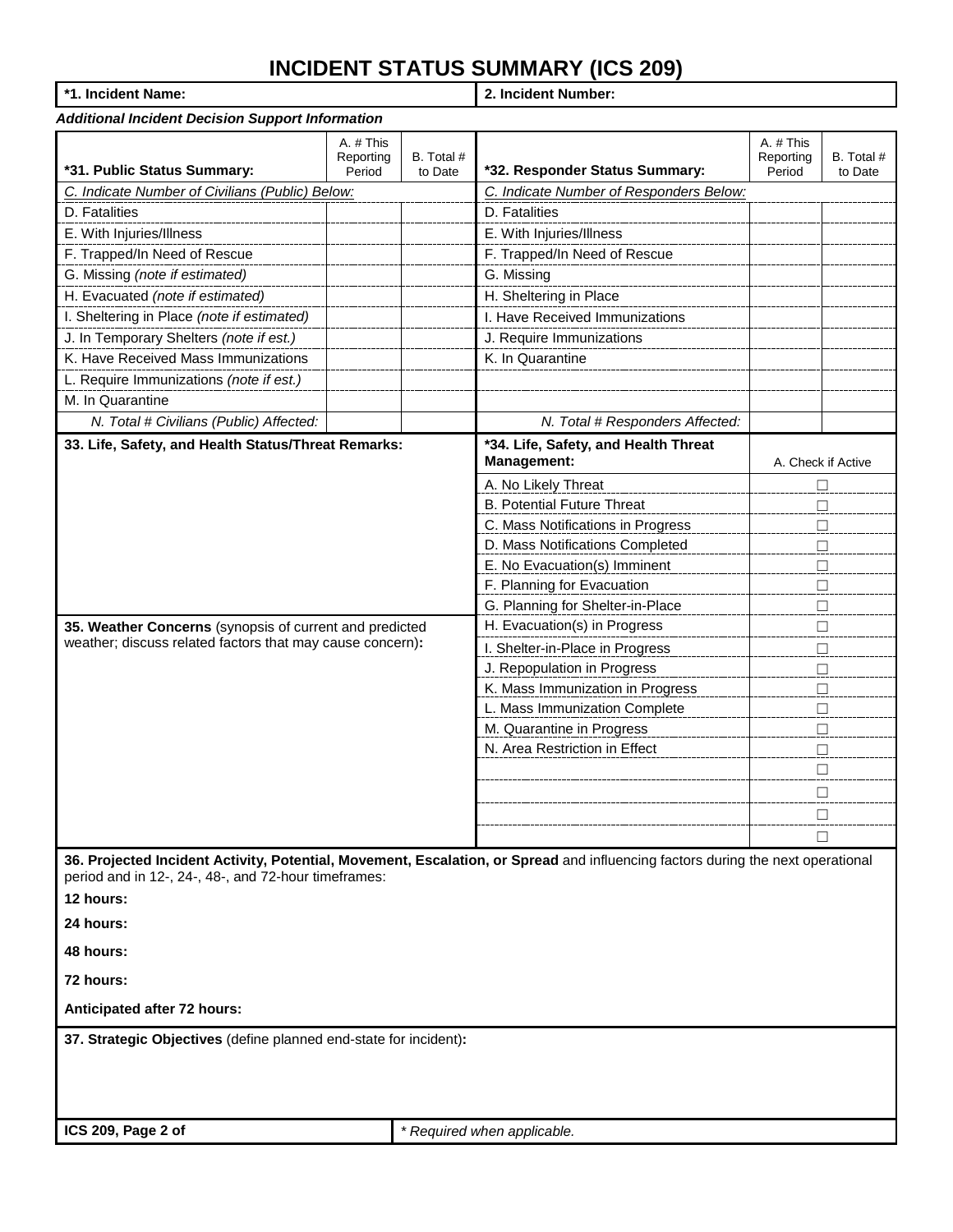| *1. Incident Name: |
|--------------------|
|--------------------|

**\*1. Incident Name: 2. Incident Number:**

| 1. mciuent Name.                                                               |                                  |                       | z. mcident number:                                                                                                              |                                  |                       |  |  |  |  |  |
|--------------------------------------------------------------------------------|----------------------------------|-----------------------|---------------------------------------------------------------------------------------------------------------------------------|----------------------------------|-----------------------|--|--|--|--|--|
| <b>Additional Incident Decision Support Information</b>                        |                                  |                       |                                                                                                                                 |                                  |                       |  |  |  |  |  |
| *31. Public Status Summary:                                                    | A. # This<br>Reporting<br>Period | B. Total #<br>to Date | *32. Responder Status Summary:                                                                                                  | A. # This<br>Reporting<br>Period | B. Total #<br>to Date |  |  |  |  |  |
| C. Indicate Number of Civilians (Public) Below:                                |                                  |                       | C. Indicate Number of Responders Below:                                                                                         |                                  |                       |  |  |  |  |  |
| D. Fatalities                                                                  |                                  |                       | D. Fatalities                                                                                                                   |                                  |                       |  |  |  |  |  |
| E. With Injuries/Illness                                                       |                                  |                       | E. With Injuries/Illness                                                                                                        |                                  |                       |  |  |  |  |  |
| F. Trapped/In Need of Rescue                                                   |                                  |                       | F. Trapped/In Need of Rescue                                                                                                    |                                  |                       |  |  |  |  |  |
| G. Missing (note if estimated)                                                 |                                  |                       | G. Missing                                                                                                                      |                                  |                       |  |  |  |  |  |
| H. Evacuated (note if estimated)                                               |                                  |                       | H. Sheltering in Place                                                                                                          |                                  |                       |  |  |  |  |  |
| I. Sheltering in Place (note if estimated)                                     |                                  |                       | I. Have Received Immunizations                                                                                                  |                                  |                       |  |  |  |  |  |
| J. In Temporary Shelters (note if est.)                                        |                                  |                       | J. Require Immunizations                                                                                                        |                                  |                       |  |  |  |  |  |
| K. Have Received Mass Immunizations                                            |                                  |                       | K. In Quarantine                                                                                                                |                                  |                       |  |  |  |  |  |
| L. Require Immunizations (note if est.)                                        |                                  |                       |                                                                                                                                 |                                  |                       |  |  |  |  |  |
| M. In Quarantine                                                               |                                  |                       |                                                                                                                                 |                                  |                       |  |  |  |  |  |
| N. Total # Civilians (Public) Affected:                                        |                                  |                       | N. Total # Responders Affected:                                                                                                 |                                  |                       |  |  |  |  |  |
| 33. Life, Safety, and Health Status/Threat Remarks:                            |                                  |                       | *34. Life, Safety, and Health Threat<br>Management:                                                                             |                                  | A. Check if Active    |  |  |  |  |  |
|                                                                                |                                  |                       | A. No Likely Threat                                                                                                             |                                  | $\Box$                |  |  |  |  |  |
|                                                                                |                                  |                       | <b>B. Potential Future Threat</b>                                                                                               |                                  | $\Box$                |  |  |  |  |  |
|                                                                                |                                  |                       | C. Mass Notifications in Progress                                                                                               | □                                |                       |  |  |  |  |  |
|                                                                                |                                  |                       | D. Mass Notifications Completed                                                                                                 | □                                |                       |  |  |  |  |  |
|                                                                                |                                  |                       | E. No Evacuation(s) Imminent                                                                                                    | $\Box$                           |                       |  |  |  |  |  |
|                                                                                |                                  |                       | F. Planning for Evacuation                                                                                                      | □<br>$\Box$                      |                       |  |  |  |  |  |
| 35. Weather Concerns (synopsis of current and predicted                        |                                  |                       | G. Planning for Shelter-in-Place<br>H. Evacuation(s) in Progress                                                                |                                  | $\Box$                |  |  |  |  |  |
| weather; discuss related factors that may cause concern):                      |                                  |                       | I. Shelter-in-Place in Progress                                                                                                 |                                  |                       |  |  |  |  |  |
|                                                                                |                                  |                       | J. Repopulation in Progress                                                                                                     |                                  | □<br>$\Box$           |  |  |  |  |  |
|                                                                                |                                  |                       | K. Mass Immunization in Progress                                                                                                |                                  | $\Box$                |  |  |  |  |  |
|                                                                                |                                  |                       | L. Mass Immunization Complete                                                                                                   |                                  | $\Box$                |  |  |  |  |  |
|                                                                                |                                  |                       | M. Quarantine in Progress                                                                                                       |                                  | $\Box$                |  |  |  |  |  |
|                                                                                |                                  |                       | N. Area Restriction in Effect                                                                                                   |                                  | $\Box$                |  |  |  |  |  |
|                                                                                |                                  |                       |                                                                                                                                 |                                  | □                     |  |  |  |  |  |
|                                                                                |                                  |                       |                                                                                                                                 |                                  | п                     |  |  |  |  |  |
|                                                                                |                                  |                       |                                                                                                                                 |                                  | □                     |  |  |  |  |  |
|                                                                                |                                  |                       |                                                                                                                                 |                                  | □                     |  |  |  |  |  |
| period and in 12-, 24-, 48-, and 72-hour timeframes:<br>12 hours:<br>24 hours: |                                  |                       | 36. Projected Incident Activity, Potential, Movement, Escalation, or Spread and influencing factors during the next operational |                                  |                       |  |  |  |  |  |
| 48 hours:                                                                      |                                  |                       |                                                                                                                                 |                                  |                       |  |  |  |  |  |
| 72 hours:                                                                      |                                  |                       |                                                                                                                                 |                                  |                       |  |  |  |  |  |
| Anticipated after 72 hours:                                                    |                                  |                       |                                                                                                                                 |                                  |                       |  |  |  |  |  |
| 37. Strategic Objectives (define planned end-state for incident):              |                                  |                       |                                                                                                                                 |                                  |                       |  |  |  |  |  |
| ICS 209, Page 2 of                                                             |                                  |                       | * Required when applicable.                                                                                                     |                                  |                       |  |  |  |  |  |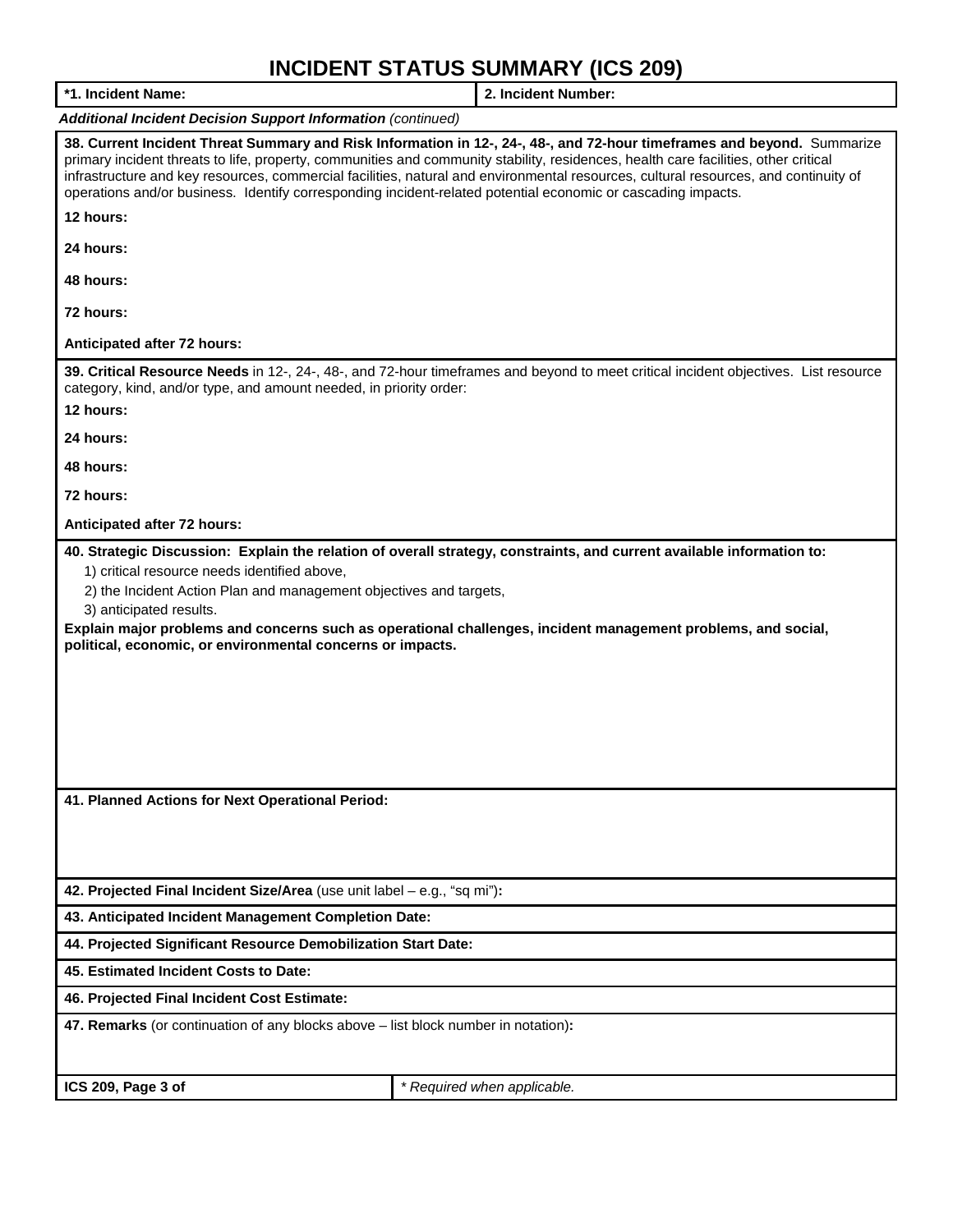| *1. Incident Name:                                                                                                                                                                                                                                                                                                                                                                                                                                                                                                    | 2. Incident Number:                                                                                                                                                                                                                     |  |  |  |  |  |  |
|-----------------------------------------------------------------------------------------------------------------------------------------------------------------------------------------------------------------------------------------------------------------------------------------------------------------------------------------------------------------------------------------------------------------------------------------------------------------------------------------------------------------------|-----------------------------------------------------------------------------------------------------------------------------------------------------------------------------------------------------------------------------------------|--|--|--|--|--|--|
| <b>Additional Incident Decision Support Information (continued)</b>                                                                                                                                                                                                                                                                                                                                                                                                                                                   |                                                                                                                                                                                                                                         |  |  |  |  |  |  |
| 38. Current Incident Threat Summary and Risk Information in 12-, 24-, 48-, and 72-hour timeframes and beyond. Summarize<br>primary incident threats to life, property, communities and community stability, residences, health care facilities, other critical<br>infrastructure and key resources, commercial facilities, natural and environmental resources, cultural resources, and continuity of<br>operations and/or business. Identify corresponding incident-related potential economic or cascading impacts. |                                                                                                                                                                                                                                         |  |  |  |  |  |  |
| 12 hours:                                                                                                                                                                                                                                                                                                                                                                                                                                                                                                             |                                                                                                                                                                                                                                         |  |  |  |  |  |  |
| 24 hours:                                                                                                                                                                                                                                                                                                                                                                                                                                                                                                             |                                                                                                                                                                                                                                         |  |  |  |  |  |  |
| 48 hours:                                                                                                                                                                                                                                                                                                                                                                                                                                                                                                             |                                                                                                                                                                                                                                         |  |  |  |  |  |  |
| 72 hours:                                                                                                                                                                                                                                                                                                                                                                                                                                                                                                             |                                                                                                                                                                                                                                         |  |  |  |  |  |  |
| Anticipated after 72 hours:                                                                                                                                                                                                                                                                                                                                                                                                                                                                                           |                                                                                                                                                                                                                                         |  |  |  |  |  |  |
| category, kind, and/or type, and amount needed, in priority order:                                                                                                                                                                                                                                                                                                                                                                                                                                                    | 39. Critical Resource Needs in 12-, 24-, 48-, and 72-hour timeframes and beyond to meet critical incident objectives. List resource                                                                                                     |  |  |  |  |  |  |
| 12 hours:                                                                                                                                                                                                                                                                                                                                                                                                                                                                                                             |                                                                                                                                                                                                                                         |  |  |  |  |  |  |
| 24 hours:                                                                                                                                                                                                                                                                                                                                                                                                                                                                                                             |                                                                                                                                                                                                                                         |  |  |  |  |  |  |
| 48 hours:                                                                                                                                                                                                                                                                                                                                                                                                                                                                                                             |                                                                                                                                                                                                                                         |  |  |  |  |  |  |
| 72 hours:                                                                                                                                                                                                                                                                                                                                                                                                                                                                                                             |                                                                                                                                                                                                                                         |  |  |  |  |  |  |
| Anticipated after 72 hours:                                                                                                                                                                                                                                                                                                                                                                                                                                                                                           |                                                                                                                                                                                                                                         |  |  |  |  |  |  |
| 1) critical resource needs identified above,<br>2) the Incident Action Plan and management objectives and targets,<br>3) anticipated results.<br>political, economic, or environmental concerns or impacts.                                                                                                                                                                                                                                                                                                           | 40. Strategic Discussion: Explain the relation of overall strategy, constraints, and current available information to:<br>Explain major problems and concerns such as operational challenges, incident management problems, and social, |  |  |  |  |  |  |
| 41. Planned Actions for Next Operational Period:                                                                                                                                                                                                                                                                                                                                                                                                                                                                      |                                                                                                                                                                                                                                         |  |  |  |  |  |  |
|                                                                                                                                                                                                                                                                                                                                                                                                                                                                                                                       |                                                                                                                                                                                                                                         |  |  |  |  |  |  |
| 42. Projected Final Incident Size/Area (use unit label - e.g., "sq mi"):                                                                                                                                                                                                                                                                                                                                                                                                                                              |                                                                                                                                                                                                                                         |  |  |  |  |  |  |
| 43. Anticipated Incident Management Completion Date:                                                                                                                                                                                                                                                                                                                                                                                                                                                                  |                                                                                                                                                                                                                                         |  |  |  |  |  |  |
| 44. Projected Significant Resource Demobilization Start Date:                                                                                                                                                                                                                                                                                                                                                                                                                                                         |                                                                                                                                                                                                                                         |  |  |  |  |  |  |
| 45. Estimated Incident Costs to Date:                                                                                                                                                                                                                                                                                                                                                                                                                                                                                 |                                                                                                                                                                                                                                         |  |  |  |  |  |  |
| 46. Projected Final Incident Cost Estimate:                                                                                                                                                                                                                                                                                                                                                                                                                                                                           |                                                                                                                                                                                                                                         |  |  |  |  |  |  |
| 47. Remarks (or continuation of any blocks above - list block number in notation):                                                                                                                                                                                                                                                                                                                                                                                                                                    |                                                                                                                                                                                                                                         |  |  |  |  |  |  |
| ICS 209, Page 3 of                                                                                                                                                                                                                                                                                                                                                                                                                                                                                                    | * Required when applicable.                                                                                                                                                                                                             |  |  |  |  |  |  |